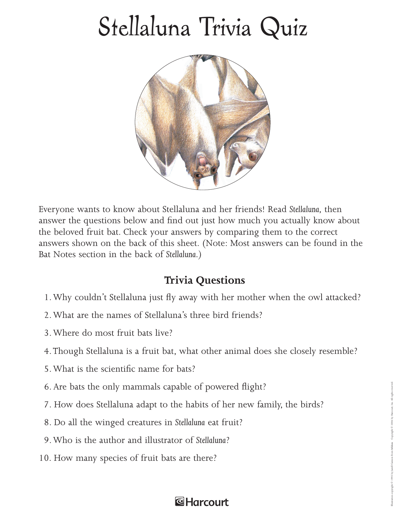## Stellaluna Trivia Quiz



Everyone wants to know about Stellaluna and her friends! Read *Stellaluna,* then answer the questions below and find out just how much you actually know about the beloved fruit bat. Check your answers by comparing them to the correct answers shown on the back of this sheet. (Note: Most answers can be found in the Bat Notes section in the back of *Stellaluna.)*

## **Trivia Questions**

- 1. Why couldn't Stellaluna just fly away with her mother when the owl attacked?
- 2. What are the names of Stellaluna's three bird friends?
- 3. Where do most fruit bats live?
- 4. Though Stellaluna is a fruit bat, what other animal does she closely resemble?
- 5. What is the scientific name for bats?
- 6. Are bats the only mammals capable of powered flight?
- 7. How does Stellaluna adapt to the habits of her new family, the birds?
- 8. Do all the winged creatures in *Stellaluna* eat fruit?
- 9. Who is the author and illustrator of *Stellaluna*?
- 10. How many species of fruit bats are there?

## **&Harcourt**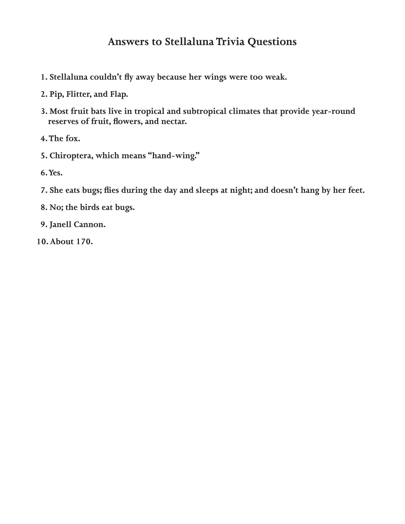## **Answers to Stellaluna Trivia Questions**

- 1. Stellaluna couldn't fly away because her wings were too weak.
- **2. Pip, Flitter, and Flap.**
- **3. Most fruit bats live in tropical and subtropical climates that provide year-round**  reserves of fruit, flowers, and nectar.
- **4. The fox.**
- **5. Chiroptera, which means "hand-wing."**
- **6. Yes.**
- 7. She eats bugs; flies during the day and sleeps at night; and doesn't hang by her feet.
- **8. No; the birds eat bugs.**
- **9. Janell Cannon.**
- **10. About 170.**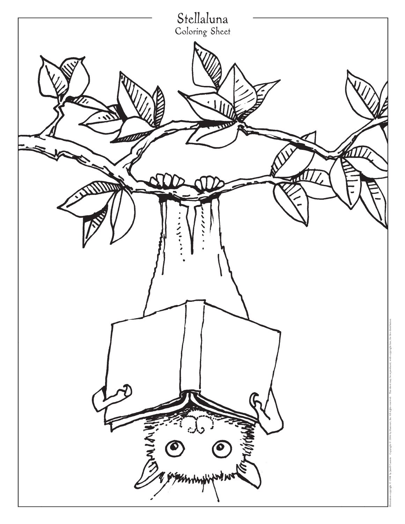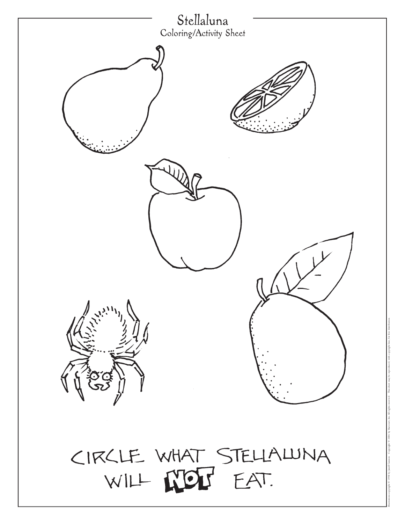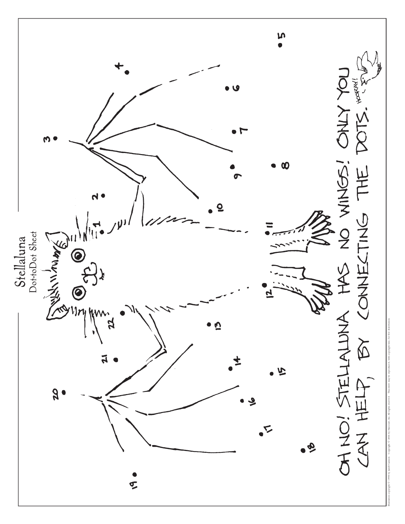